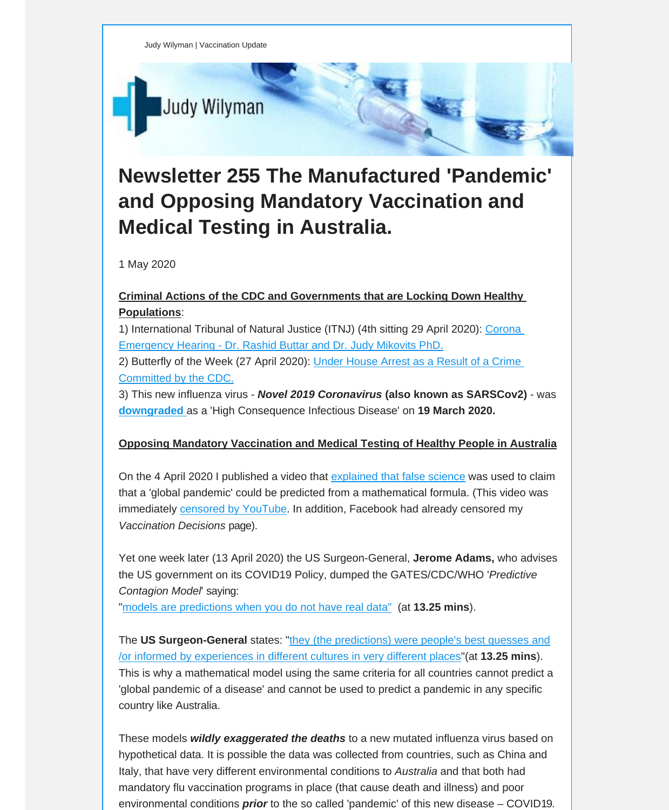

# **Newsletter 255 The Manufactured 'Pandemic' and Opposing Mandatory Vaccination and Medical Testing in Australia.**

1 May 2020

## **Criminal Actions of the CDC and Governments that are Locking Down Healthy Populations**:

1) Intern[a](https://vaccinationdecisions.us8.list-manage.com/track/click?u=f20605fde3732e41929f4a3f2&id=af452b77b4&e=6b3f8c9022)tional Tribunal of Natural Justice (ITNJ) (4th sitting 29 April 2020): Corona [Emergency](https://vaccinationdecisions.us8.list-manage.com/track/click?u=f20605fde3732e41929f4a3f2&id=af452b77b4&e=6b3f8c9022) Hearing - Dr. Rashid Buttar and Dr. Judy Mikovits PhD.

2) Butterfly of the Week (27 April 2020): Under [House](https://vaccinationdecisions.us8.list-manage.com/track/click?u=f20605fde3732e41929f4a3f2&id=b81afa0ea6&e=6b3f8c9022) Arrest as a Result of a Crime [Committed](https://vaccinationdecisions.us8.list-manage.com/track/click?u=f20605fde3732e41929f4a3f2&id=b81afa0ea6&e=6b3f8c9022) by the CDC.

3) This new influenza virus - *Novel 2019 Coronavirus* **(also known as SARSCov2)** - was **[downgraded](https://vaccinationdecisions.us8.list-manage.com/track/click?u=f20605fde3732e41929f4a3f2&id=b5844bdc8a&e=6b3f8c9022)** as a 'High Consequence Infectious Disease' on **19 March 2020.**

### **Opposing Mandatory Vaccination and Medical Testing of Healthy People in Australia**

On the 4 April 2020 I published a video that explained that false [science](https://vaccinationdecisions.us8.list-manage.com/track/click?u=f20605fde3732e41929f4a3f2&id=c055194177&e=6b3f8c9022) was used to claim that a 'global pandemic' could be predicted from a mathematical formula. (This video was immediately **censored by YouTube**. In addition, Facebook had already censored my *Vaccination Decisions* page).

Yet one week later (13 April 2020) the US Surgeon-General, **Jerome Adams,** who advises the US government on its COVID19 Policy, dumped the GATES/CDC/WHO '*Predictive Contagion Model*' saying:

"models are predictions when you do not have real data" (at **13.25 mins**).

The US Surgeon-General states: "they (the predictions) were people's best guesses and /or informed by experiences in different cultures in very different [places"\(at](https://vaccinationdecisions.us8.list-manage.com/track/click?u=f20605fde3732e41929f4a3f2&id=d177d0a1be&e=6b3f8c9022) **13.25 mins**). This is why a [mathematical](https://vaccinationdecisions.us8.list-manage.com/track/click?u=f20605fde3732e41929f4a3f2&id=d177d0a1be&e=6b3f8c9022) model using the same criteria for all countries cannot predict a 'global pandemic of a disease' and cannot be used to predict a pandemic in any specific country like Australia.

These models *wildly exaggerated the deaths* to a new mutated influenza virus based on hypothetical data. It is possible the data was collected from countries, such as China and Italy, that have very different environmental conditions to *Australia* and that both had mandatory flu vaccination programs in place (that cause death and illness) and poor environmental conditions *prior* to the so called 'pandemic' of this new disease – COVID19.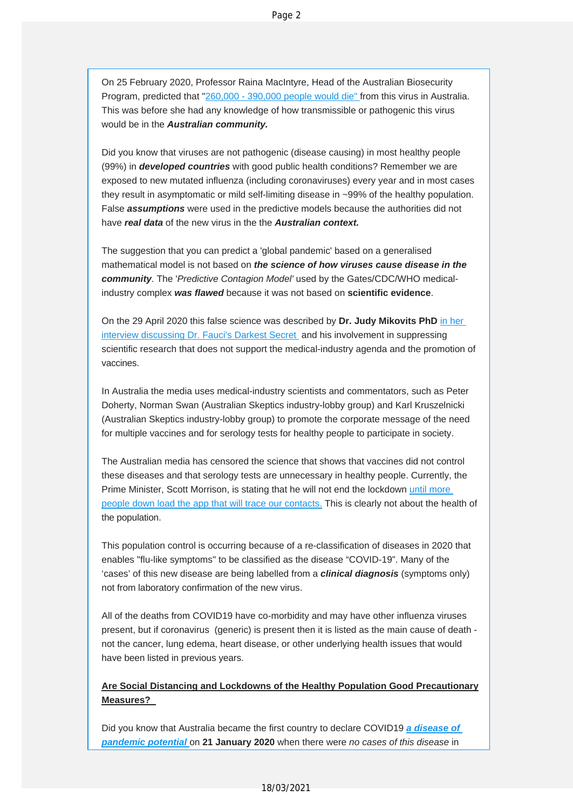On 25 February 2020, Professor Raina MacIntyre, Head of the Australian Biosecurity Program, predicted that "260,000 - 390,000 people would die" from this virus in Australia. This was before she had any knowledge of how transmissible or pathogenic this virus would be in the *Australian community.*

Did you know that viruses are not pathogenic (disease causing) in most healthy people (99%) in *developed countries* with good public health conditions? Remember we are exposed to new mutated influenza (including coronaviruses) every year and in most cases they result in asymptomatic or mild self-limiting disease in ~99% of the healthy population. False *assumptions* were used in the predictive models because the authorities did not have *real data* of the new virus in the the *Australian context.*

The suggestion that you can predict a 'global pandemic' based on a generalised mathematical model is not based on *the science of how viruses cause disease in the community*. The '*Predictive Contagion Model'* used by the Gates/CDC/WHO medicalindustry complex *was flawed* because it was not based on **scientific evidence**.

On the 29 April 2020 this false science was described by **Dr. Judy Mikovits PhD** in her i[nterview discussing Dr. Fauci's Darkest Secret and](https://vaccinationdecisions.us8.list-manage.com/track/click?u=f20605fde3732e41929f4a3f2&id=d55c3538a0&e=6b3f8c9022) his involvement in suppressing scientific research that does not support the medical-industry agenda and the promotion of vaccines.

In Australia the media uses medical-industry scientists and commentators, such as Peter Doherty, Norman Swan (Australian Skeptics industry-lobby group) and Karl Kruszelnicki (Australian Skeptics industry-lobby group) to promote the corporate message of the need for multiple vaccines and for serology tests for healthy people to participate in society.

The Australian media has censored the science that shows that vaccines did not control these diseases and that serology tests are unnecessary in healthy people. Currently, the Prime Minister, Scott Morrison, is stating that he will not end the lockdown until m[ore](https://vaccinationdecisions.us8.list-manage.com/track/click?u=f20605fde3732e41929f4a3f2&id=47a1d9735b&e=6b3f8c9022)  [people down load the app that will trace our contacts.](https://vaccinationdecisions.us8.list-manage.com/track/click?u=f20605fde3732e41929f4a3f2&id=47a1d9735b&e=6b3f8c9022) This is clearly not about the health of the population.

This population control is occurring because of a re-classification of diseases in 2020 that enables "flu-like symptoms" to be classified as the disease "COVID-19". Many of the 'cases' of this new disease are being labelled from a *clinical diagnosis* (symptoms only) not from laboratory confirmation of the new virus.

All of the deaths from COVID19 have co-morbidity and may have other influenza viruses present, but if coronavirus (generic) is present then it is listed as the main cause of death not the cancer, lung edema, heart disease, or other underlying health issues that would have been listed in previous years.

## **Are Social Distancing and Lockdowns of the Healthy Population Good Precautionary Measures?**

Did you know that Australia became the first country to declare COVID19 *a disease of pandemic potential* on **21 January 2020** when there were *no cases of this dise[ase](https://vaccinationdecisions.us8.list-manage.com/track/click?u=f20605fde3732e41929f4a3f2&id=716a7bdae5&e=6b3f8c9022)* in

#### 18/03/2021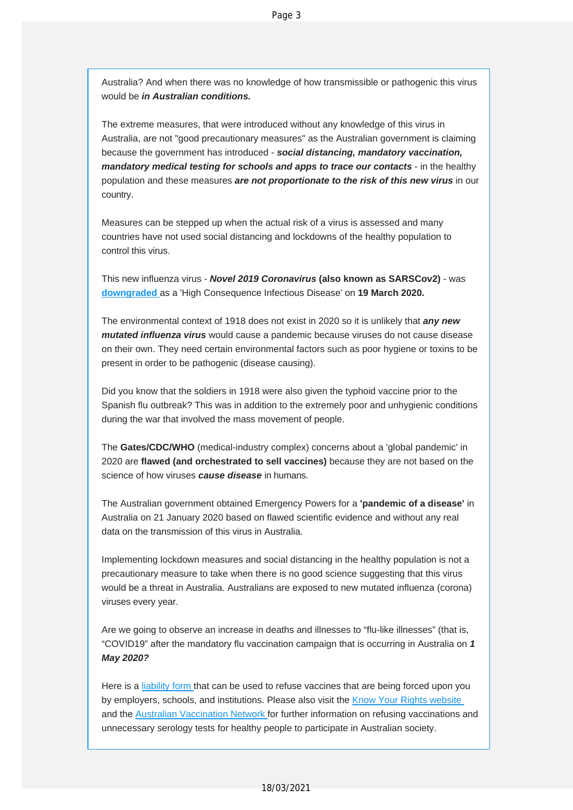Australia? And when there was no knowledge of how transmissible or pathogenic this virus would be *in Australian conditions.*

The extreme measures, that were introduced without any knowledge of this virus in Australia, are not "good precautionary measures" as the Australian government is claiming because the government has introduced - *social distancing, mandatory vaccination, mandatory medical testing for schools and apps to trace our contacts - in the healthy* population and these measures *are not proportionate to the risk of this new virus* in our country.

Measures can be stepped up when the actual risk of a virus is assessed and many countries have not used social distancing and lockdowns of the healthy population to control this virus.

[This new influen](https://vaccinationdecisions.us8.list-manage.com/track/click?u=f20605fde3732e41929f4a3f2&id=d372381193&e=6b3f8c9022)za virus - *Novel 2019 Coronavirus* **(also known as SARSCov2)** - was **downgraded** as a 'High Consequence Infectious Disease' on **19 March 2020.** 

The environmental context of 1918 does not exist in 2020 so it is unlikely that *any new mutated influenza virus* would cause a pandemic because viruses do not cause disease on their own. They need certain environmental factors such as poor hygiene or toxins to be present in order to be pathogenic (disease causing).

Did you know that the soldiers in 1918 were also given the typhoid vaccine prior to the Spanish flu outbreak? This was in addition to the extremely poor and unhygienic conditions during the war that involved the mass movement of people.

The **Gates/CDC/WHO** (medical-industry complex) concerns about a 'global pandemic' in 2020 are **flawed (and orchestrated to sell vaccines)** because they are not based on the science of how viruses *cause disease* in humans.

The Australian government obtained Emergency Powers for a **'pandemic of a disease'** in Australia on 21 January 2020 based on flawed scientific evidence and without any real data on the transmission of this virus in Australia.

Implementing lockdown measures and social distancing in the healthy population is not a precautionary measure to take when there is no good science suggesting that this virus would be a threat in Australia. Australians are exposed to new mutated influenza (corona) viruses every year.

Are we going to observe an increase in deaths and illnesses to "flu-like illnesses" (that is, "COVID19" after the mandatory flu vaccination campaign that is occurring in Australia on *1 May 2020?*

Here is a liability form that can be used to refuse vaccines that are being forced upon you by employers, schools, and institutions. Please also visit the Know Your Rights website and the Au[stralian Vaccin](https://vaccinationdecisions.us8.list-manage.com/track/click?u=f20605fde3732e41929f4a3f2&id=462f45ffcb&e=6b3f8c9022)ation Network for further information on refusing vaccinations and unnecess[ary serology tests for healthy peopl](https://vaccinationdecisions.us8.list-manage.com/track/click?u=f20605fde3732e41929f4a3f2&id=6c39fd6213&e=6b3f8c9022)e to participate in Aus[tralian society.](https://vaccinationdecisions.us8.list-manage.com/track/click?u=f20605fde3732e41929f4a3f2&id=f27394cf80&e=6b3f8c9022)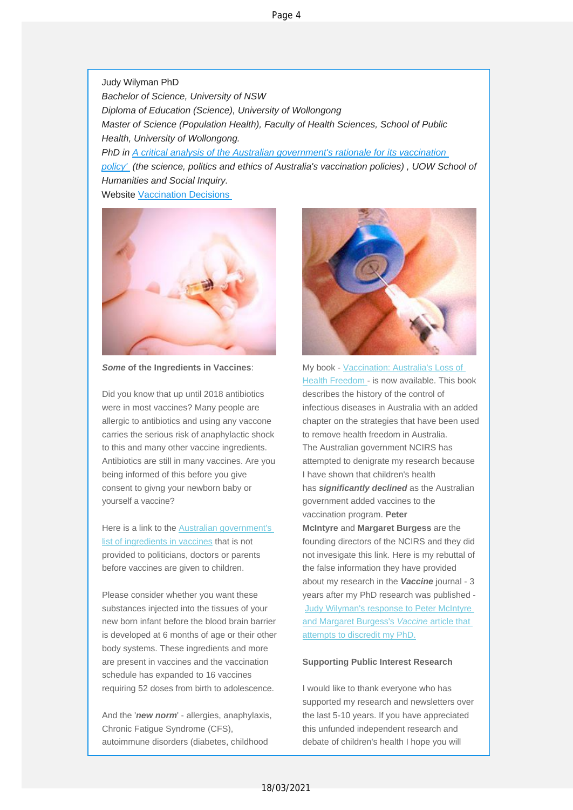Judy Wilyman PhD *Bachelor of Science, University of NSW Diploma of Education (Science), University of Wollongong Master o[f Science \(Population Health\), Faculty of Health Sciences, School of Public](https://vaccinationdecisions.us8.list-manage.com/track/click?u=f20605fde3732e41929f4a3f2&id=35ad2652b6&e=6b3f8c9022)  Health, University of Wollongong. [PhD in A](https://vaccinationdecisions.us8.list-manage.com/track/click?u=f20605fde3732e41929f4a3f2&id=35ad2652b6&e=6b3f8c9022) critical analysis of the Australian government's rationale for its vaccination policy' (the science, politics and ethics of Australia's vaccination policies) , UOW School of Humanitie[s and Social Inquiry.](https://vaccinationdecisions.us8.list-manage.com/track/click?u=f20605fde3732e41929f4a3f2&id=25a2910091&e=6b3f8c9022)* Website Vaccination Decisions



*Some* **of the Ingredients in Vaccines**:

Did you know that up until 2018 antibiotics were in most vaccines? Many people are allergic to antibiotics and using any vaccone carries the serious risk of anaphylactic shock to this and many other vaccine ingredients. Antibiotics are still in many vaccines. Are you being informed of this before you give consent to givng your newborn baby or yourself a vaccine?

Here is a link to the Australian government's list of ingredients in vaccines [that is not](https://vaccinationdecisions.us8.list-manage.com/track/click?u=f20605fde3732e41929f4a3f2&id=716320a96d&e=6b3f8c9022)  [provided to politicians, doctors o](https://vaccinationdecisions.us8.list-manage.com/track/click?u=f20605fde3732e41929f4a3f2&id=716320a96d&e=6b3f8c9022)r parents before vaccines are given to children.

Please consider whether you want these substances injected into the tissues of your new born infant before the blood brain barrier is developed at 6 months of age or their other body systems. These ingredients and more are present in vaccines and the vaccination schedule has expanded to 16 vaccines requiring 52 doses from birth to adolescence.

And the '*new norm*' - allergies, anaphylaxis, Chronic Fatigue Syndrome (CFS), autoimmune disorders (diabetes, childhood



My book - Vacci[nation: Australia's Loss of](https://vaccinationdecisions.us8.list-manage.com/track/click?u=f20605fde3732e41929f4a3f2&id=408f6f0139&e=6b3f8c9022)  Healt[h Freedom -](https://vaccinationdecisions.us8.list-manage.com/track/click?u=f20605fde3732e41929f4a3f2&id=408f6f0139&e=6b3f8c9022) is now available. This book describes the history of the control of infectious diseases in Australia with an added chapter on the strategies that have been used to remove health freedom in Australia. The Australian government NCIRS has attempted to denigrate my research because I have shown that children's health has *significantly declined* as the Australian government added vaccines to the vaccination program. **Peter McIntyre** and **Margaret Burgess** are the founding directors of the NCIRS and they did not invesigate this link. Here is my rebuttal of the false information they have provided about my research in the *Vaccine* journal - 3 years after my PhD research was published - Judy Wilyman's response to Peter McIntyre and [Margaret Burgess's](https://vaccinationdecisions.us8.list-manage.com/track/click?u=f20605fde3732e41929f4a3f2&id=05bb74aef4&e=6b3f8c9022) *Vaccine* article that atte[mpts to discredit my PhD.](https://vaccinationdecisions.us8.list-manage.com/track/click?u=f20605fde3732e41929f4a3f2&id=05bb74aef4&e=6b3f8c9022)

#### **Supporting Public Interest Research**

I would like to thank everyone who has supported my research and newsletters over the last 5-10 years. If you have appreciated this unfunded independent research and debate of children's health I hope you will